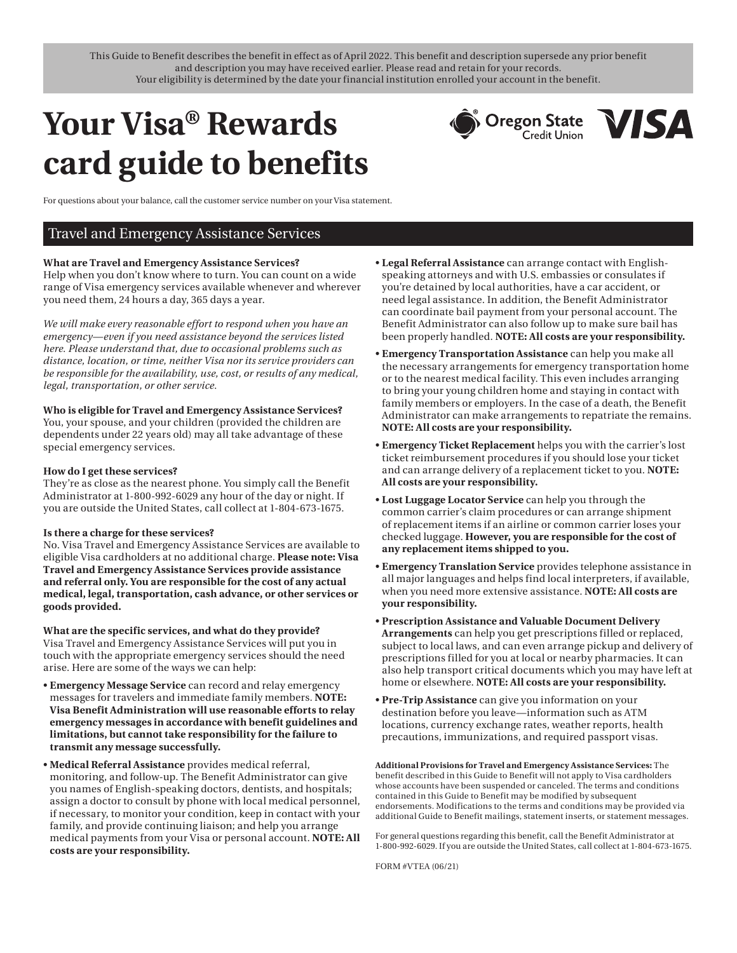This Guide to Benefit describes the benefit in effect as of April 2022. This benefit and description supersede any prior benefit and description you may have received earlier. Please read and retain for your records. Your eligibility is determined by the date your financial institution enrolled your account in the benefit.

# **Your Visa® Rewards card guide to benefits**



For questions about your balance, call the customer service number on your Visa statement.

# Travel and Emergency Assistance Services

### **What are Travel and Emergency Assistance Services?**

Help when you don't know where to turn. You can count on a wide range of Visa emergency services available whenever and wherever you need them, 24 hours a day, 365 days a year.

*We will make every reasonable effort to respond when you have an emergency—even if you need assistance beyond the services listed here. Please understand that, due to occasional problems such as distance, location, or time, neither Visa nor its service providers can be responsible for the availability, use, cost, or results of any medical, legal, transportation, or other service.* 

### **Who is eligible for Travel and Emergency Assistance Services?**

You, your spouse, and your children (provided the children are dependents under 22 years old) may all take advantage of these special emergency services.

### **How do I get these services?**

They're as close as the nearest phone. You simply call the Benefit Administrator at 1-800-992-6029 any hour of the day or night. If you are outside the United States, call collect at 1-804-673-1675.

### **Is there a charge for these services?**

No. Visa Travel and Emergency Assistance Services are available to eligible Visa cardholders at no additional charge. **Please note: Visa Travel and Emergency Assistance Services provide assistance and referral only. You are responsible for the cost of any actual medical, legal, transportation, cash advance, or other services or goods provided.** 

**What are the specific services, and what do they provide?**  Visa Travel and Emergency Assistance Services will put you in

touch with the appropriate emergency services should the need arise. Here are some of the ways we can help:

- **Emergency Message Service** can record and relay emergency messages for travelers and immediate family members. **NOTE: Visa Benefit Administration will use reasonable efforts to relay emergency messages in accordance with benefit guidelines and limitations, but cannot take responsibility for the failure to transmit any message successfully.**
- **Medical Referral Assistance** provides medical referral, monitoring, and follow-up. The Benefit Administrator can give you names of English-speaking doctors, dentists, and hospitals; assign a doctor to consult by phone with local medical personnel, if necessary, to monitor your condition, keep in contact with your family, and provide continuing liaison; and help you arrange medical payments from your Visa or personal account. **NOTE: All costs are your responsibility.**
- **Legal Referral Assistance** can arrange contact with Englishspeaking attorneys and with U.S. embassies or consulates if you're detained by local authorities, have a car accident, or need legal assistance. In addition, the Benefit Administrator can coordinate bail payment from your personal account. The Benefit Administrator can also follow up to make sure bail has been properly handled. **NOTE: All costs are your responsibility.**
- **Emergency Transportation Assistance** can help you make all the necessary arrangements for emergency transportation home or to the nearest medical facility. This even includes arranging to bring your young children home and staying in contact with family members or employers. In the case of a death, the Benefit Administrator can make arrangements to repatriate the remains. **NOTE: All costs are your responsibility.**
- **Emergency Ticket Replacement** helps you with the carrier's lost ticket reimbursement procedures if you should lose your ticket and can arrange delivery of a replacement ticket to you. **NOTE: All costs are your responsibility.**
- **Lost Luggage Locator Service** can help you through the common carrier's claim procedures or can arrange shipment of replacement items if an airline or common carrier loses your checked luggage. **However, you are responsible for the cost of any replacement items shipped to you.**
- **Emergency Translation Service** provides telephone assistance in all major languages and helps find local interpreters, if available, when you need more extensive assistance. **NOTE: All costs are your responsibility.**
- **Prescription Assistance and Valuable Document Delivery Arrangements** can help you get prescriptions filled or replaced, subject to local laws, and can even arrange pickup and delivery of prescriptions filled for you at local or nearby pharmacies. It can also help transport critical documents which you may have left at home or elsewhere. **NOTE: All costs are your responsibility.**
- **Pre-Trip Assistance** can give you information on your destination before you leave—information such as ATM locations, currency exchange rates, weather reports, health precautions, immunizations, and required passport visas.

**Additional Provisions for Travel and Emergency Assistance Services:** The benefit described in this Guide to Benefit will not apply to Visa cardholders whose accounts have been suspended or canceled. The terms and conditions contained in this Guide to Benefit may be modified by subsequent endorsements. Modifications to the terms and conditions may be provided via additional Guide to Benefit mailings, statement inserts, or statement messages.

For general questions regarding this benefit, call the Benefit Administrator at 1-800-992-6029. If you are outside the United States, call collect at 1-804-673-1675.

FORM #VTEA (06/21)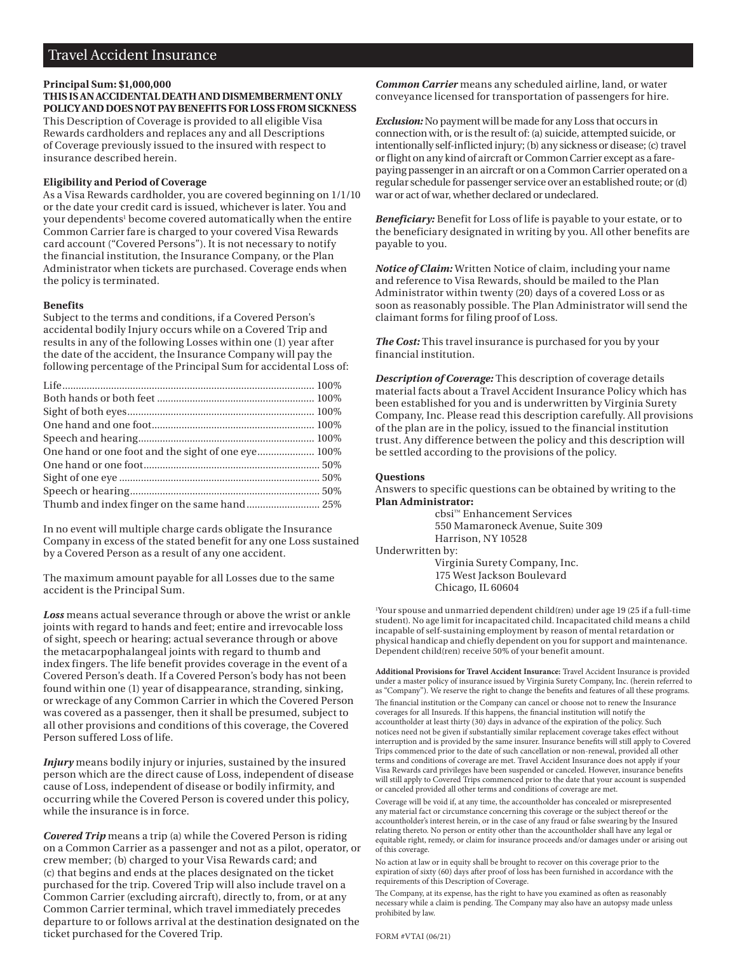# Travel Accident Insurance

## **Principal Sum: \$1,000,000**

**THIS IS AN ACCIDENTAL DEATH AND DISMEMBERMENT ONLY POLICY AND DOES NOT PAY BENEFITS FOR LOSS FROM SICKNESS**  This Description of Coverage is provided to all eligible Visa Rewards cardholders and replaces any and all Descriptions of Coverage previously issued to the insured with respect to insurance described herein.

# **Eligibility and Period of Coverage**

As a Visa Rewards cardholder, you are covered beginning on 1/1/10 or the date your credit card is issued, whichever is later. You and your dependents<sup>1</sup> become covered automatically when the entire Common Carrier fare is charged to your covered Visa Rewards card account ("Covered Persons"). It is not necessary to notify the financial institution, the Insurance Company, or the Plan Administrator when tickets are purchased. Coverage ends when the policy is terminated.

### **Benefits**

Subject to the terms and conditions, if a Covered Person's accidental bodily Injury occurs while on a Covered Trip and results in any of the following Losses within one (1) year after the date of the accident, the Insurance Company will pay the following percentage of the Principal Sum for accidental Loss of:

| One hand or one foot and the sight of one eye 100% |  |
|----------------------------------------------------|--|
|                                                    |  |
|                                                    |  |
|                                                    |  |
|                                                    |  |
|                                                    |  |

In no event will multiple charge cards obligate the Insurance Company in excess of the stated benefit for any one Loss sustained by a Covered Person as a result of any one accident.

The maximum amount payable for all Losses due to the same accident is the Principal Sum.

*Loss* means actual severance through or above the wrist or ankle joints with regard to hands and feet; entire and irrevocable loss of sight, speech or hearing; actual severance through or above the metacarpophalangeal joints with regard to thumb and index fingers. The life benefit provides coverage in the event of a Covered Person's death. If a Covered Person's body has not been found within one (1) year of disappearance, stranding, sinking, or wreckage of any Common Carrier in which the Covered Person was covered as a passenger, then it shall be presumed, subject to all other provisions and conditions of this coverage, the Covered Person suffered Loss of life.

*Injury* means bodily injury or injuries, sustained by the insured person which are the direct cause of Loss, independent of disease cause of Loss, independent of disease or bodily infirmity, and occurring while the Covered Person is covered under this policy, while the insurance is in force.

*Covered Trip* means a trip (a) while the Covered Person is riding on a Common Carrier as a passenger and not as a pilot, operator, or crew member; (b) charged to your Visa Rewards card; and (c) that begins and ends at the places designated on the ticket purchased for the trip. Covered Trip will also include travel on a Common Carrier (excluding aircraft), directly to, from, or at any Common Carrier terminal, which travel immediately precedes departure to or follows arrival at the destination designated on the ticket purchased for the Covered Trip.

*Common Carrier* means any scheduled airline, land, or water conveyance licensed for transportation of passengers for hire.

*Exclusion:* No payment will be made for any Loss that occurs in connection with, or is the result of: (a) suicide, attempted suicide, or intentionally self-inflicted injury; (b) any sickness or disease; (c) travel or flight on any kind of aircraft or Common Carrier except as a farepaying passenger in an aircraft or on a Common Carrier operated on a regular schedule for passenger service over an established route; or (d) war or act of war, whether declared or undeclared.

*Beneficiary:* Benefit for Loss of life is payable to your estate, or to the beneficiary designated in writing by you. All other benefits are payable to you.

*Notice of Claim:* Written Notice of claim, including your name and reference to Visa Rewards, should be mailed to the Plan Administrator within twenty (20) days of a covered Loss or as soon as reasonably possible. The Plan Administrator will send the claimant forms for filing proof of Loss.

*The Cost:* This travel insurance is purchased for you by your financial institution.

*Description of Coverage:* This description of coverage details material facts about a Travel Accident Insurance Policy which has been established for you and is underwritten by Virginia Surety Company, Inc. Please read this description carefully. All provisions of the plan are in the policy, issued to the financial institution trust. Any difference between the policy and this description will be settled according to the provisions of the policy.

### **Questions**

Answers to specific questions can be obtained by writing to the **Plan Administrator:** 

> cbsi™ Enhancement Services 550 Mamaroneck Avenue, Suite 309 Harrison, NY 10528

Underwritten by: Virginia Surety Company, Inc. 175 West Jackson Boulevard Chicago, IL 60604

1 Your spouse and unmarried dependent child(ren) under age 19 (25 if a full-time student). No age limit for incapacitated child. Incapacitated child means a child incapable of self-sustaining employment by reason of mental retardation or physical handicap and chiefly dependent on you for support and maintenance. Dependent child(ren) receive 50% of your benefit amount.

**Additional Provisions for Travel Accident Insurance:** Travel Accident Insurance is provided under a master policy of insurance issued by Virginia Surety Company, Inc. (herein referred to as "Company"). We reserve the right to change the benefts and features of all these programs.

The financial institution or the Company can cancel or choose not to renew the Insurance coverages for all Insureds. If this happens, the fnancial institution will notify the accountholder at least thirty (30) days in advance of the expiration of the policy. Such notices need not be given if substantially similar replacement coverage takes efect without interruption and is provided by the same insurer. Insurance benefts will still apply to Covered Trips commenced prior to the date of such cancellation or non-renewal, provided all other terms and conditions of coverage are met. Travel Accident Insurance does not apply if your Visa Rewards card privileges have been suspended or canceled. However, insurance benefts will still apply to Covered Trips commenced prior to the date that your account is suspended or canceled provided all other terms and conditions of coverage are met.

Coverage will be void if, at any time, the accountholder has concealed or misrepresented any material fact or circumstance concerning this coverage or the subject thereof or the accountholder's interest herein, or in the case of any fraud or false swearing by the Insured relating thereto. No person or entity other than the accountholder shall have any legal or equitable right, remedy, or claim for insurance proceeds and/or damages under or arising out of this coverage.

No action at law or in equity shall be brought to recover on this coverage prior to the expiration of sixty (60) days afer proof of loss has been furnished in accordance with the requirements of this Description of Coverage.

The Company, at its expense, has the right to have you examined as often as reasonably necessary while a claim is pending. The Company may also have an autopsy made unless prohibited by law.

FORM #VTAI (06/21)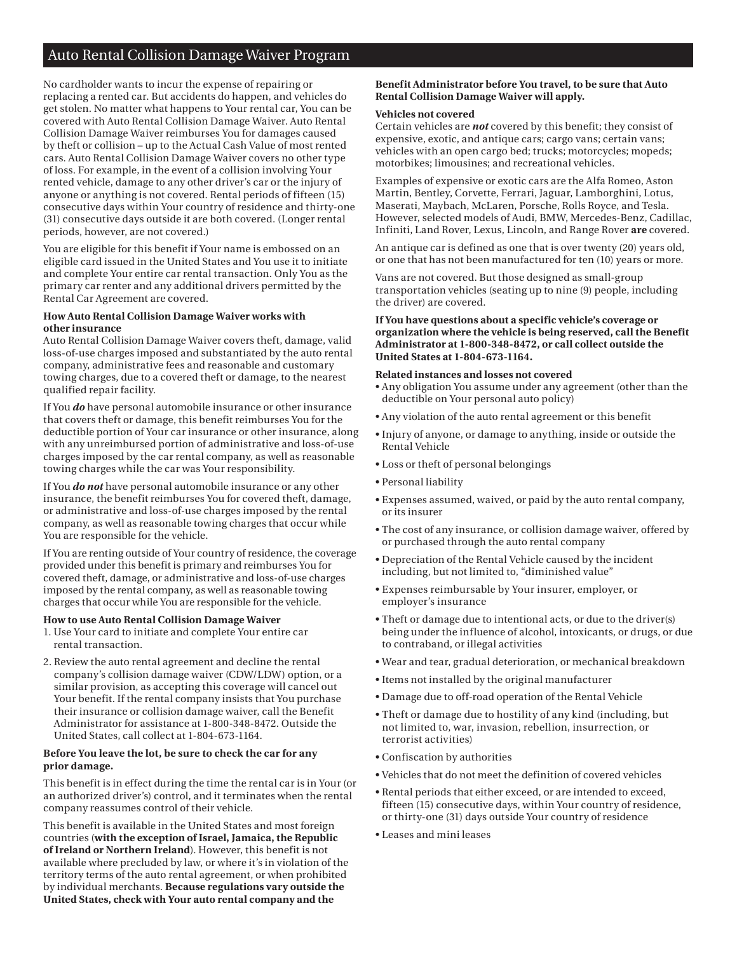# Auto Rental Collision Damage Waiver Program

No cardholder wants to incur the expense of repairing or replacing a rented car. But accidents do happen, and vehicles do get stolen. No matter what happens to Your rental car, You can be covered with Auto Rental Collision Damage Waiver. Auto Rental Collision Damage Waiver reimburses You for damages caused by theft or collision – up to the Actual Cash Value of most rented cars. Auto Rental Collision Damage Waiver covers no other type of loss. For example, in the event of a collision involving Your rented vehicle, damage to any other driver's car or the injury of anyone or anything is not covered. Rental periods of fifteen (15) consecutive days within Your country of residence and thirty-one (31) consecutive days outside it are both covered. (Longer rental periods, however, are not covered.)

You are eligible for this benefit if Your name is embossed on an eligible card issued in the United States and You use it to initiate and complete Your entire car rental transaction. Only You as the primary car renter and any additional drivers permitted by the Rental Car Agreement are covered.

### **How Auto Rental Collision Damage Waiver works with other insurance**

Auto Rental Collision Damage Waiver covers theft, damage, valid loss-of-use charges imposed and substantiated by the auto rental company, administrative fees and reasonable and customary towing charges, due to a covered theft or damage, to the nearest qualified repair facility.

If You *do* have personal automobile insurance or other insurance that covers theft or damage, this benefit reimburses You for the deductible portion of Your car insurance or other insurance, along with any unreimbursed portion of administrative and loss-of-use charges imposed by the car rental company, as well as reasonable towing charges while the car was Your responsibility.

If You *do not* have personal automobile insurance or any other insurance, the benefit reimburses You for covered theft, damage, or administrative and loss-of-use charges imposed by the rental company, as well as reasonable towing charges that occur while You are responsible for the vehicle.

If You are renting outside of Your country of residence, the coverage provided under this benefit is primary and reimburses You for covered theft, damage, or administrative and loss-of-use charges imposed by the rental company, as well as reasonable towing charges that occur while You are responsible for the vehicle.

### **How to use Auto Rental Collision Damage Waiver**

- 1. Use Your card to initiate and complete Your entire car rental transaction.
- 2. Review the auto rental agreement and decline the rental company's collision damage waiver (CDW/LDW) option, or a similar provision, as accepting this coverage will cancel out Your benefit. If the rental company insists that You purchase their insurance or collision damage waiver, call the Benefit Administrator for assistance at 1-800-348-8472. Outside the United States, call collect at 1-804-673-1164.

# **Before You leave the lot, be sure to check the car for any prior damage.**

This benefit is in effect during the time the rental car is in Your (or an authorized driver's) control, and it terminates when the rental company reassumes control of their vehicle.

This benefit is available in the United States and most foreign countries (**with the exception of Israel, Jamaica, the Republic of Ireland or Northern Ireland**). However, this benefit is not available where precluded by law, or where it's in violation of the territory terms of the auto rental agreement, or when prohibited by individual merchants. **Because regulations vary outside the United States, check with Your auto rental company and the** 

# **Benefit Administrator before You travel, to be sure that Auto Rental Collision Damage Waiver will apply.**

### **Vehicles not covered**

Certain vehicles are *not* covered by this benefit; they consist of expensive, exotic, and antique cars; cargo vans; certain vans; vehicles with an open cargo bed; trucks; motorcycles; mopeds; motorbikes; limousines; and recreational vehicles.

Examples of expensive or exotic cars are the Alfa Romeo, Aston Martin, Bentley, Corvette, Ferrari, Jaguar, Lamborghini, Lotus, Maserati, Maybach, McLaren, Porsche, Rolls Royce, and Tesla. However, selected models of Audi, BMW, Mercedes-Benz, Cadillac, Infiniti, Land Rover, Lexus, Lincoln, and Range Rover **are** covered.

An antique car is defined as one that is over twenty (20) years old, or one that has not been manufactured for ten (10) years or more.

Vans are not covered. But those designed as small-group transportation vehicles (seating up to nine (9) people, including the driver) are covered.

### **If You have questions about a specific vehicle's coverage or organization where the vehicle is being reserved, call the Benefit Administrator at 1-800-348-8472, or call collect outside the United States at 1-804-673-1164.**

### **Related instances and losses not covered**

• Any obligation You assume under any agreement (other than the deductible on Your personal auto policy)

- Any violation of the auto rental agreement or this benefit
- Injury of anyone, or damage to anything, inside or outside the Rental Vehicle
- Loss or theft of personal belongings
- Personal liability
- Expenses assumed, waived, or paid by the auto rental company, or its insurer
- The cost of any insurance, or collision damage waiver, offered by or purchased through the auto rental company
- Depreciation of the Rental Vehicle caused by the incident including, but not limited to, "diminished value"
- Expenses reimbursable by Your insurer, employer, or employer's insurance
- Theft or damage due to intentional acts, or due to the driver(s) being under the influence of alcohol, intoxicants, or drugs, or due to contraband, or illegal activities
- Wear and tear, gradual deterioration, or mechanical breakdown
- Items not installed by the original manufacturer
- Damage due to off-road operation of the Rental Vehicle
- Theft or damage due to hostility of any kind (including, but not limited to, war, invasion, rebellion, insurrection, or terrorist activities)
- Confiscation by authorities
- Vehicles that do not meet the definition of covered vehicles
- Rental periods that either exceed, or are intended to exceed, fifteen (15) consecutive days, within Your country of residence, or thirty-one (31) days outside Your country of residence
- Leases and mini leases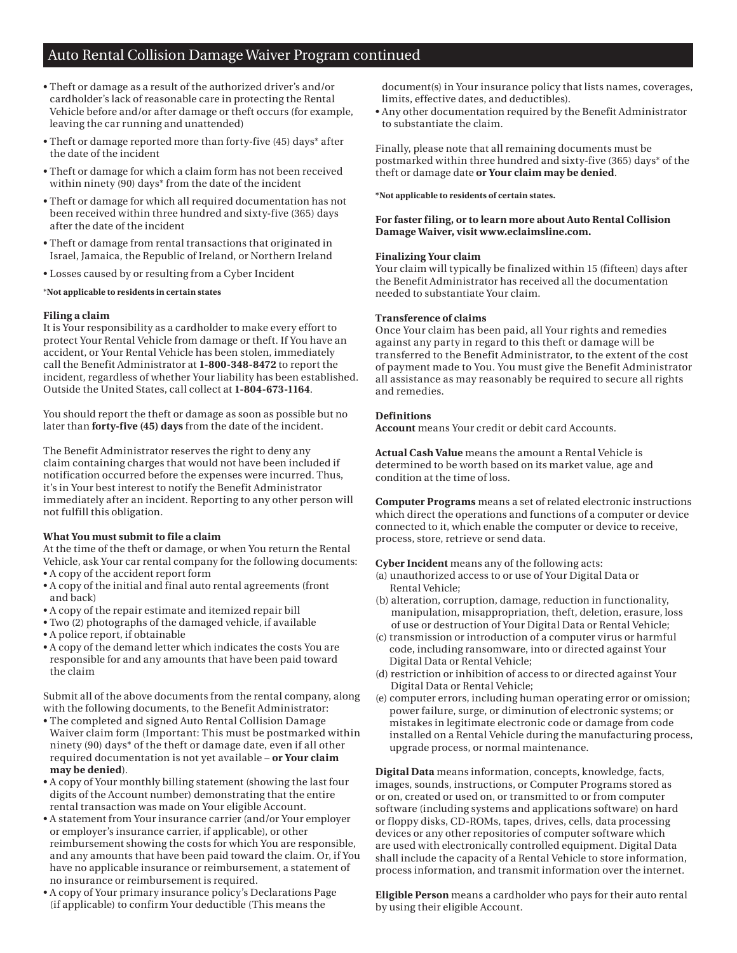# Auto Rental Collision Damage Waiver Program continued

- Theft or damage as a result of the authorized driver's and/or cardholder's lack of reasonable care in protecting the Rental Vehicle before and/or after damage or theft occurs (for example, leaving the car running and unattended)
- Theft or damage reported more than forty-five (45) days\* after the date of the incident
- Theft or damage for which a claim form has not been received within ninety (90) days\* from the date of the incident
- Theft or damage for which all required documentation has not been received within three hundred and sixty-five (365) days after the date of the incident
- Theft or damage from rental transactions that originated in Israel, Jamaica, the Republic of Ireland, or Northern Ireland
- Losses caused by or resulting from a Cyber Incident

### \***Not applicable to residents in certain states**

### **Filing a claim**

It is Your responsibility as a cardholder to make every effort to protect Your Rental Vehicle from damage or theft. If You have an accident, or Your Rental Vehicle has been stolen, immediately call the Benefit Administrator at **1-800-348-8472** to report the incident, regardless of whether Your liability has been established. Outside the United States, call collect at **1-804-673-1164**.

You should report the theft or damage as soon as possible but no later than **forty-five (45) days** from the date of the incident.

The Benefit Administrator reserves the right to deny any claim containing charges that would not have been included if notification occurred before the expenses were incurred. Thus, it's in Your best interest to notify the Benefit Administrator immediately after an incident. Reporting to any other person will not fulfill this obligation.

# **What You must submit to file a claim**

At the time of the theft or damage, or when You return the Rental Vehicle, ask Your car rental company for the following documents: • A copy of the accident report form

- A copy of the initial and final auto rental agreements (front and back)
- A copy of the repair estimate and itemized repair bill
- Two (2) photographs of the damaged vehicle, if available
- A police report, if obtainable
- A copy of the demand letter which indicates the costs You are responsible for and any amounts that have been paid toward the claim

Submit all of the above documents from the rental company, along with the following documents, to the Benefit Administrator:

- The completed and signed Auto Rental Collision Damage Waiver claim form (Important: This must be postmarked within ninety (90) days\* of the theft or damage date, even if all other required documentation is not yet available – **or Your claim may be denied**).
- A copy of Your monthly billing statement (showing the last four digits of the Account number) demonstrating that the entire rental transaction was made on Your eligible Account.
- A statement from Your insurance carrier (and/or Your employer or employer's insurance carrier, if applicable), or other reimbursement showing the costs for which You are responsible, and any amounts that have been paid toward the claim. Or, if You have no applicable insurance or reimbursement, a statement of no insurance or reimbursement is required.
- A copy of Your primary insurance policy's Declarations Page (if applicable) to confirm Your deductible (This means the

document(s) in Your insurance policy that lists names, coverages, limits, effective dates, and deductibles).

• Any other documentation required by the Benefit Administrator to substantiate the claim.

Finally, please note that all remaining documents must be postmarked within three hundred and sixty-five (365) days\* of the theft or damage date **or Your claim may be denied**.

### **\*Not applicable to residents of certain states.**

# **For faster filing, or to learn more about Auto Rental Collision Damage Waiver, visit <www.eclaimsline.com>.**

### **Finalizing Your claim**

Your claim will typically be finalized within 15 (fifteen) days after the Benefit Administrator has received all the documentation needed to substantiate Your claim.

# **Transference of claims**

Once Your claim has been paid, all Your rights and remedies against any party in regard to this theft or damage will be transferred to the Benefit Administrator, to the extent of the cost of payment made to You. You must give the Benefit Administrator all assistance as may reasonably be required to secure all rights and remedies.

# **Definitions**

**Account** means Your credit or debit card Accounts.

**Actual Cash Value** means the amount a Rental Vehicle is determined to be worth based on its market value, age and condition at the time of loss.

**Computer Programs** means a set of related electronic instructions which direct the operations and functions of a computer or device connected to it, which enable the computer or device to receive, process, store, retrieve or send data.

**Cyber Incident** means any of the following acts:

- (a) unauthorized access to or use of Your Digital Data or Rental Vehicle;
- (b) alteration, corruption, damage, reduction in functionality, manipulation, misappropriation, theft, deletion, erasure, loss of use or destruction of Your Digital Data or Rental Vehicle;
- (c) transmission or introduction of a computer virus or harmful code, including ransomware, into or directed against Your Digital Data or Rental Vehicle;
- (d) restriction or inhibition of access to or directed against Your Digital Data or Rental Vehicle;
- (e) computer errors, including human operating error or omission; power failure, surge, or diminution of electronic systems; or mistakes in legitimate electronic code or damage from code installed on a Rental Vehicle during the manufacturing process, upgrade process, or normal maintenance.

**Digital Data** means information, concepts, knowledge, facts, images, sounds, instructions, or Computer Programs stored as or on, created or used on, or transmitted to or from computer software (including systems and applications software) on hard or floppy disks, CD-ROMs, tapes, drives, cells, data processing devices or any other repositories of computer software which are used with electronically controlled equipment. Digital Data shall include the capacity of a Rental Vehicle to store information, process information, and transmit information over the internet.

**Eligible Person** means a cardholder who pays for their auto rental by using their eligible Account.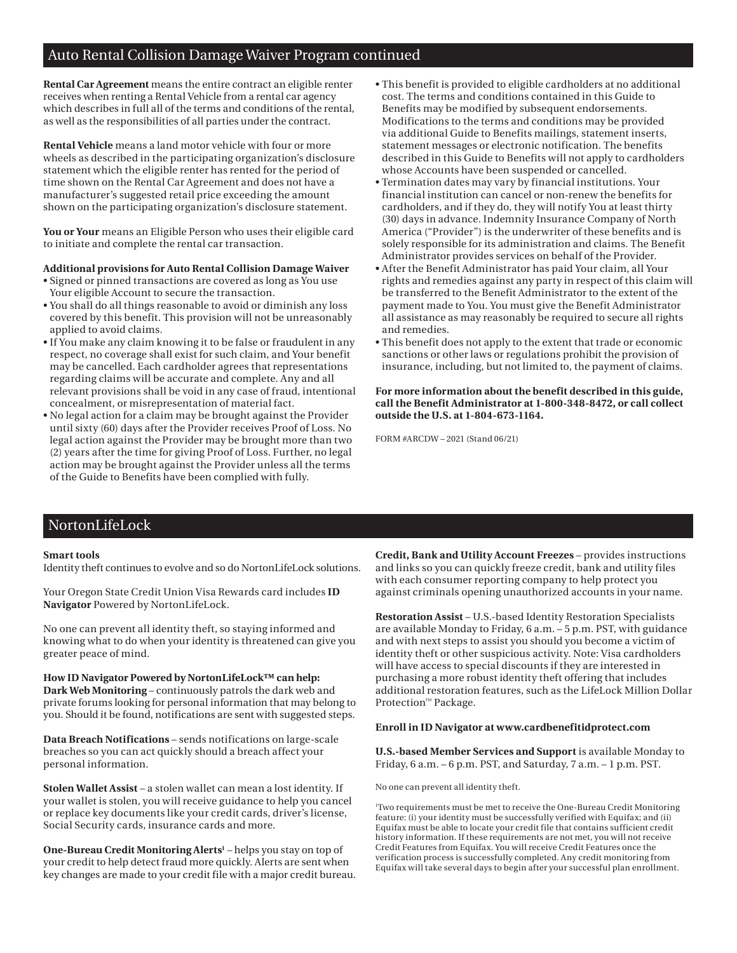# Auto Rental Collision Damage Waiver Program continued

**Rental Car Agreement** means the entire contract an eligible renter receives when renting a Rental Vehicle from a rental car agency which describes in full all of the terms and conditions of the rental, as well as the responsibilities of all parties under the contract.

**Rental Vehicle** means a land motor vehicle with four or more wheels as described in the participating organization's disclosure statement which the eligible renter has rented for the period of time shown on the Rental Car Agreement and does not have a manufacturer's suggested retail price exceeding the amount shown on the participating organization's disclosure statement.

**You or Your** means an Eligible Person who uses their eligible card to initiate and complete the rental car transaction.

### **Additional provisions for Auto Rental Collision Damage Waiver**

- Signed or pinned transactions are covered as long as You use Your eligible Account to secure the transaction.
- You shall do all things reasonable to avoid or diminish any loss covered by this benefit. This provision will not be unreasonably applied to avoid claims.
- If You make any claim knowing it to be false or fraudulent in any respect, no coverage shall exist for such claim, and Your benefit may be cancelled. Each cardholder agrees that representations regarding claims will be accurate and complete. Any and all relevant provisions shall be void in any case of fraud, intentional concealment, or misrepresentation of material fact.
- No legal action for a claim may be brought against the Provider until sixty (60) days after the Provider receives Proof of Loss. No legal action against the Provider may be brought more than two (2) years after the time for giving Proof of Loss. Further, no legal action may be brought against the Provider unless all the terms of the Guide to Benefits have been complied with fully.
- This benefit is provided to eligible cardholders at no additional cost. The terms and conditions contained in this Guide to Benefits may be modified by subsequent endorsements. Modifications to the terms and conditions may be provided via additional Guide to Benefits mailings, statement inserts, statement messages or electronic notification. The benefits described in this Guide to Benefits will not apply to cardholders whose Accounts have been suspended or cancelled.
- Termination dates may vary by financial institutions. Your financial institution can cancel or non-renew the benefits for cardholders, and if they do, they will notify You at least thirty (30) days in advance. Indemnity Insurance Company of North America ("Provider") is the underwriter of these benefits and is solely responsible for its administration and claims. The Benefit Administrator provides services on behalf of the Provider.
- After the Benefit Administrator has paid Your claim, all Your rights and remedies against any party in respect of this claim will be transferred to the Benefit Administrator to the extent of the payment made to You. You must give the Benefit Administrator all assistance as may reasonably be required to secure all rights and remedies.
- This benefit does not apply to the extent that trade or economic sanctions or other laws or regulations prohibit the provision of insurance, including, but not limited to, the payment of claims.

**For more information about the benefit described in this guide, call the Benefit Administrator at 1-800-348-8472, or call collect outside the U.S. at 1-804-673-1164.** 

FORM #ARCDW – 2021 (Stand 06/21)

# NortonLifeLock

### **Smart tools**

Identity theft continues to evolve and so do NortonLifeLock solutions.

Your Oregon State Credit Union Visa Rewards card includes **ID Navigator** Powered by NortonLifeLock.

No one can prevent all identity theft, so staying informed and knowing what to do when your identity is threatened can give you greater peace of mind.

**How ID Navigator Powered by NortonLifeLock™ can help: Dark Web Monitoring** – continuously patrols the dark web and private forums looking for personal information that may belong to you. Should it be found, notifications are sent with suggested steps.

**Data Breach Notifications** – sends notifications on large-scale breaches so you can act quickly should a breach affect your personal information.

**Stolen Wallet Assist** – a stolen wallet can mean a lost identity. If your wallet is stolen, you will receive guidance to help you cancel or replace key documents like your credit cards, driver's license, Social Security cards, insurance cards and more.

**One-Bureau Credit Monitoring Alerts<sup>1</sup>** – helps you stay on top of your credit to help detect fraud more quickly. Alerts are sent when key changes are made to your credit file with a major credit bureau. **Credit, Bank and Utility Account Freezes** – provides instructions and links so you can quickly freeze credit, bank and utility files with each consumer reporting company to help protect you against criminals opening unauthorized accounts in your name.

**Restoration Assist** – U.S.-based Identity Restoration Specialists are available Monday to Friday, 6 a.m. – 5 p.m. PST, with guidance and with next steps to assist you should you become a victim of identity theft or other suspicious activity. Note: Visa cardholders will have access to special discounts if they are interested in purchasing a more robust identity theft offering that includes additional restoration features, such as the LifeLock Million Dollar Protection™ Package.

### **Enroll in ID Navigator at <www.cardbenefitidprotect.com>**

**U.S.-based Member Services and Support** is available Monday to Friday, 6 a.m. – 6 p.m. PST, and Saturday, 7 a.m. – 1 p.m. PST.

No one can prevent all identity theft.

1 Two requirements must be met to receive the One-Bureau Credit Monitoring feature: (i) your identity must be successfully verified with Equifax; and (ii) Equifax must be able to locate your credit file that contains sufficient credit history information. If these requirements are not met, you will not receive Credit Features from Equifax. You will receive Credit Features once the verification process is successfully completed. Any credit monitoring from Equifax will take several days to begin after your successful plan enrollment.